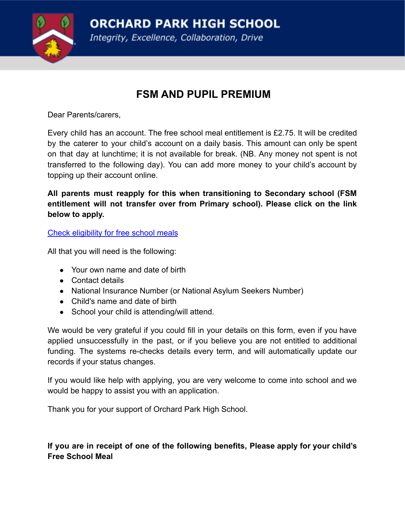**ORCHARD PARK HIGH SCHOOL** 

Integrity, Excellence, Collaboration, Drive



## **FSM AND PUPIL PREMIUM**

[Dear Parents/carers,](https://www.cloudforedu.org.uk/ofsm/sims)

Every child has an account. The free school meal entitlement is £2.75. It will be credited by the caterer to your child's account on a daily basis. This amount can only be spent on that day at lunchtime; it is not available for break. (NB. Any money not spent is not transferred to the following day). You can add more money to your child's account by topping up their account online.

**All parents must reapply for this when transitioning to Secondary school (FSM entitlement will not transfer over from Primary school). Please click on the link below to apply.**

[Check eligibility for free school meals](https://www.cloudforedu.org.uk/ofsm/sims)

All that you will need is the following:

- Your own name and date of birth
- Contact details
- National Insurance Number (or National Asylum Seekers Number)
- Child's name and date of birth
- School your child is attending/will attend.

We would be very grateful if you could fill in your details on this form, even if you have applied unsuccessfully in the past, or if you believe you are not entitled to additional funding. The systems re-checks details every term, and will automatically update our records if your status changes.

If you would like help with applying, you are very welcome to come into school and we would be happy to assist you with an application.

Thank you for your support of Orchard Park High School.

**If you are in receipt of one of the following benefits, Please apply for your child's Free School Meal**